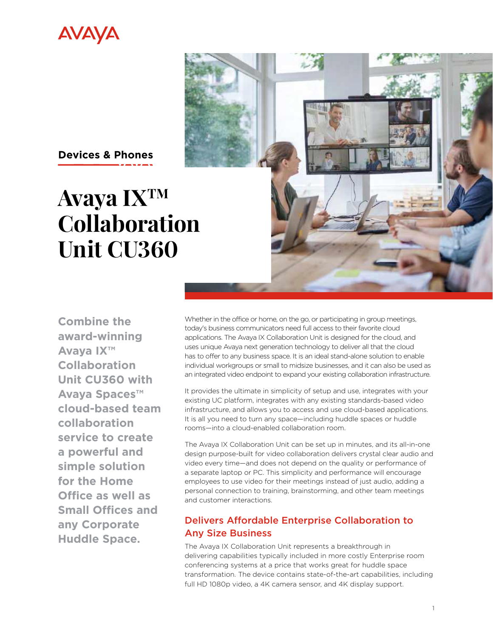



# **Avaya IXTM Collaboration Unit CU360**

**Combine the award-winning Avaya IX™ Collaboration Unit CU360 with Avaya Spaces™ cloud-based team collaboration service to create a powerful and simple solution for the Home Office as well as Small Offices and any Corporate Huddle Space.** 

Whether in the office or home, on the go, or participating in group meetings, today's business communicators need full access to their favorite cloud applications. The Avaya IX Collaboration Unit is designed for the cloud, and uses unique Avaya next generation technology to deliver all that the cloud has to offer to any business space. It is an ideal stand-alone solution to enable individual workgroups or small to midsize businesses, and it can also be used as an integrated video endpoint to expand your existing collaboration infrastructure.

It provides the ultimate in simplicity of setup and use, integrates with your existing UC platform, integrates with any existing standards-based video infrastructure, and allows you to access and use cloud-based applications. It is all you need to turn any space—including huddle spaces or huddle rooms—into a cloud-enabled collaboration room.

The Avaya IX Collaboration Unit can be set up in minutes, and its all-in-one design purpose-built for video collaboration delivers crystal clear audio and video every time—and does not depend on the quality or performance of a separate laptop or PC. This simplicity and performance will encourage employees to use video for their meetings instead of just audio, adding a personal connection to training, brainstorming, and other team meetings and customer interactions.

# Delivers Affordable Enterprise Collaboration to Any Size Business

The Avaya IX Collaboration Unit represents a breakthrough in delivering capabilities typically included in more costly Enterprise room conferencing systems at a price that works great for huddle space transformation. The device contains state-of-the-art capabilities, including full HD 1080p video, a 4K camera sensor, and 4K display support.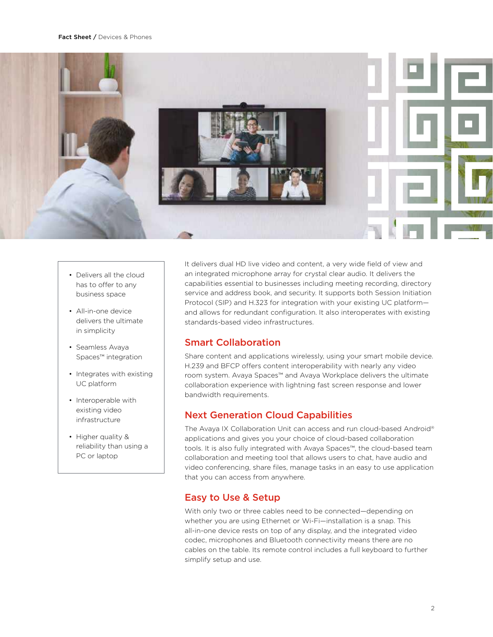

- Delivers all the cloud has to offer to any business space
- All-in-one device delivers the ultimate in simplicity
- Seamless Avaya Spaces™ integration
- Integrates with existing UC platform
- Interoperable with existing video infrastructure
- Higher quality & reliability than using a PC or laptop

It delivers dual HD live video and content, a very wide field of view and an integrated microphone array for crystal clear audio. It delivers the capabilities essential to businesses including meeting recording, directory service and address book, and security. It supports both Session Initiation Protocol (SIP) and H.323 for integration with your existing UC platform and allows for redundant configuration. It also interoperates with existing standards-based video infrastructures.

## Smart Collaboration

Share content and applications wirelessly, using your smart mobile device. H.239 and BFCP offers content interoperability with nearly any video room system. Avaya Spaces™ and Avaya Workplace delivers the ultimate collaboration experience with lightning fast screen response and lower bandwidth requirements.

## Next Generation Cloud Capabilities

The Avaya IX Collaboration Unit can access and run cloud-based Android® applications and gives you your choice of cloud-based collaboration tools. It is also fully integrated with Avaya Spaces™, the cloud-based team collaboration and meeting tool that allows users to chat, have audio and video conferencing, share files, manage tasks in an easy to use application that you can access from anywhere.

## Easy to Use & Setup

With only two or three cables need to be connected—depending on whether you are using Ethernet or Wi-Fi—installation is a snap. This all-in-one device rests on top of any display, and the integrated video codec, microphones and Bluetooth connectivity means there are no cables on the table. Its remote control includes a full keyboard to further simplify setup and use.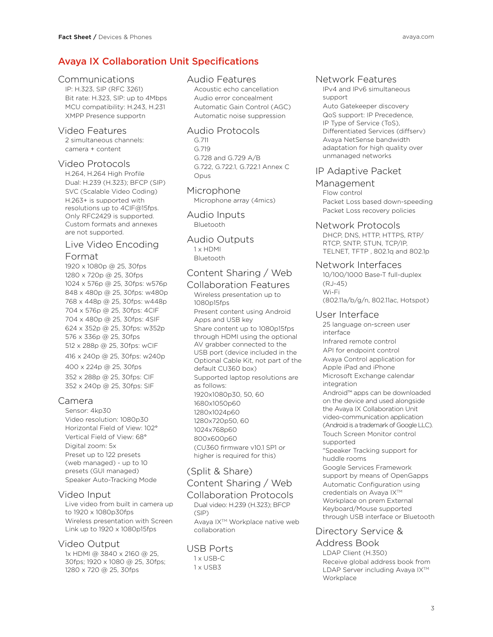## Avaya IX Collaboration Unit Specifications

#### Communications

IP: H.323, SIP (RFC 3261) Bit rate: H.323, SIP: up to 4Mbps MCU compatibility: H.243, H.231 XMPP Presence supportn

### Video Features

2 simultaneous channels: camera + content

## Video Protocols

H.264, H.264 High Profile Dual: H.239 (H.323); BFCP (SIP) SVC (Scalable Video Coding) H.263+ is supported with resolutions up to 4CIF@15fps. Only RFC2429 is supported. Custom formats and annexes are not supported.

# Live Video Encoding

## Format

1920 x 1080p @ 25, 30fps 1280 x 720p @ 25, 30fps 1024 x 576p @ 25, 30fps: w576p 848 x 480p @ 25, 30fps: w480p 768 x 448p @ 25, 30fps: w448p 704 x 576p @ 25, 30fps: 4CIF 704 x 480p @ 25, 30fps: 4SIF 624 x 352p @ 25, 30fps: w352p 576 x 336p @ 25, 30fps 512 x 288p @ 25, 30fps: wCIF 416 x 240p @ 25, 30fps: w240p 400 x 224p @ 25, 30fps 352 x 288p @ 25, 30fps: CIF 352 x 240p @ 25, 30fps: SIF

## Camera

Sensor: 4kp30 Video resolution: 1080p30 Horizontal Field of View: 102° Vertical Field of View: 68° Digital zoom: 5x Preset up to 122 presets (web managed) - up to 10 presets (GUI managed) Speaker Auto-Tracking Mode

### Video Input

Live video from built in camera up to 1920 x 1080p30fps Wireless presentation with Screen Link up to 1920 x 1080p15fps

### Video Output

1x HDMI @ 3840 x 2160 @ 25, 30fps; 1920 x 1080 @ 25, 30fps; 1280 x 720 @ 25, 30fps

## Audio Features

Acoustic echo cancellation Audio error concealment Automatic Gain Control (AGC) Automatic noise suppression

#### Audio Protocols

G.711 G.719 G.728 and G.729 A/B G.722, G.722.1, G.722.1 Annex C Opus

## Microphone

Microphone array (4mics)

Audio Inputs Bluetooth

#### Audio Outputs 1 x HDMI Bluetooth

## Content Sharing / Web

Collaboration Features Wireless presentation up to 1080p15fps Present content using Android Apps and USB key Share content up to 1080p15fps through HDMI using the optional AV grabber connected to the USB port (device included in the Optional Cable Kit, not part of the default CU360 box) Supported laptop resolutions are as follows: 1920x1080p30, 50, 60 1680x1050p60 1280x1024p60 1280x720p50, 60 1024x768p60 800x600p60 (CU360 firmware v10.1 SP1 or higher is required for this)

## (Split & Share)

## Content Sharing / Web

## Collaboration Protocols

Dual video: H.239 (H.323); BFCP (SIP) Avaya IX™ Workplace native web collaboration

## USB Ports 1 x USB-C

1 x USB3

## Network Features

IPv4 and IPv6 simultaneous support Auto Gatekeeper discovery QoS support: IP Precedence, IP Type of Service (ToS), Differentiated Services (diffserv) Avaya NetSense bandwidth adaptation for high quality over unmanaged networks

## IP Adaptive Packet

## Management

Flow control Packet Loss based down-speeding Packet Loss recovery policies

#### Network Protocols

DHCP, DNS, HTTP, HTTPS, RTP/ RTCP, SNTP, STUN, TCP/IP, TELNET, TFTP , 802.1q and 802.1p

### Network Interfaces

10/100/1000 Base-T full-duplex (RJ-45) Wi-Fi (802.11a/b/g/n, 802.11ac, Hotspot)

## User Interface

25 language on-screen user interface Infrared remote control API for endpoint control Avaya Control application for Apple iPad and iPhone Microsoft Exchange calendar integration Android™ apps can be downloaded on the device and used alongside the Avaya IX Collaboration Unit video-communication application (Android is a trademark of Google LLC). Touch Screen Monitor control supported "Speaker Tracking support for huddle rooms Google Services Framework support by means of OpenGapps Automatic Configuration using credentials on Avaya IX™ Workplace on prem External Keyboard/Mouse supported through USB interface or Bluetooth

## Directory Service &

### Address Book

LDAP Client (H.350) Receive global address book from LDAP Server including Avaya IX™ **Workplace**